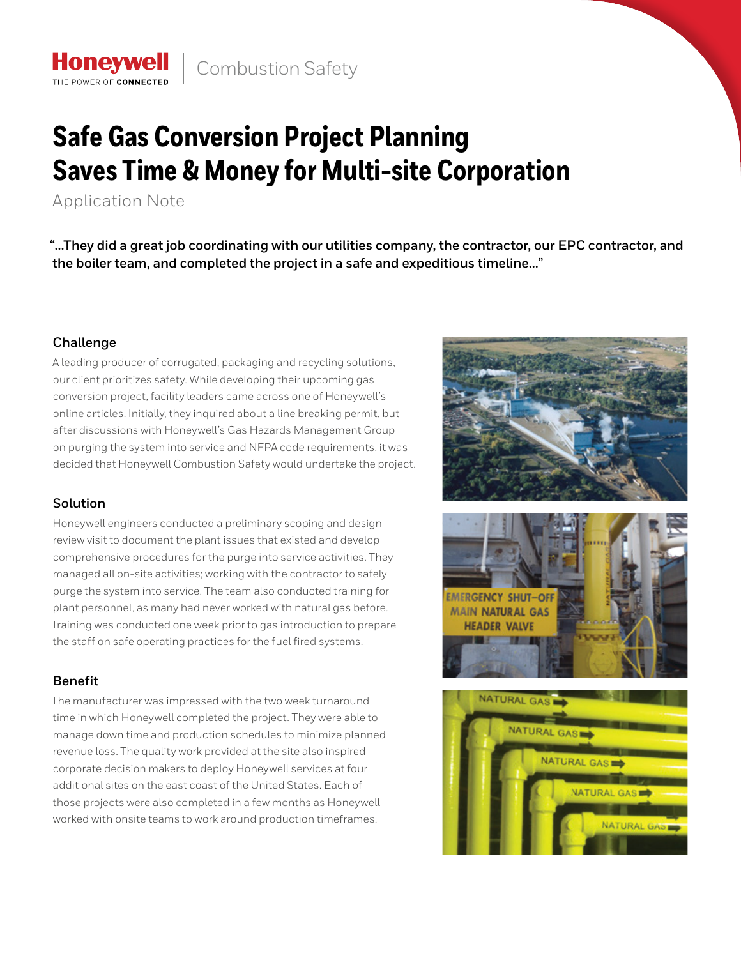# **Safe Gas Conversion Project Planning Saves Time & Money for Multi-site Corporation**

Application Note

**Honeywell** THE POWER OF CONNECTE

**"…They did a great job coordinating with our utilities company, the contractor, our EPC contractor, and the boiler team, and completed the project in a safe and expeditious timeline…"**

## **Challenge**

A leading producer of corrugated, packaging and recycling solutions, our client prioritizes safety. While developing their upcoming gas conversion project, facility leaders came across one of Honeywell's online articles. Initially, they inquired about a line breaking permit, but after discussions with Honeywell's Gas Hazards Management Group on purging the system into service and NFPA code requirements, it was decided that Honeywell Combustion Safety would undertake the project.

## **Solution**

Honeywell engineers conducted a preliminary scoping and design review visit to document the plant issues that existed and develop comprehensive procedures for the purge into service activities. They managed all on-site activities; working with the contractor to safely purge the system into service. The team also conducted training for plant personnel, as many had never worked with natural gas before. Training was conducted one week prior to gas introduction to prepare the staff on safe operating practices for the fuel fired systems.

# **Benefit**

The manufacturer was impressed with the two week turnaround time in which Honeywell completed the project. They were able to manage down time and production schedules to minimize planned revenue loss. The quality work provided at the site also inspired corporate decision makers to deploy Honeywell services at four additional sites on the east coast of the United States. Each of those projects were also completed in a few months as Honeywell worked with onsite teams to work around production timeframes.